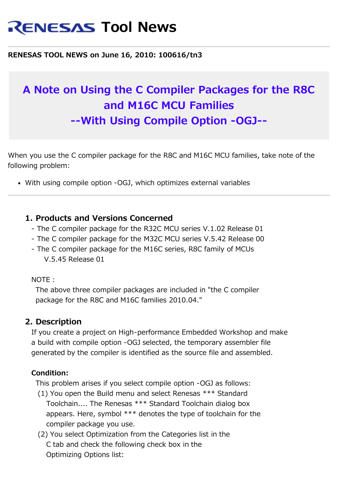# **RENESAS Tool News**

#### **RENESAS TOOL NEWS on June 16, 2010: 100616/tn3**

# **A Note on Using the C Compiler Packages for the R8C and M16C MCU Families --With Using Compile Option -OGJ--**

When you use the C compiler package for the R8C and M16C MCU families, take note of the following problem:

With using compile option -OGJ, which optimizes external variables

## **1. Products and Versions Concerned**

- The C compiler package for the R32C MCU series V.1.02 Release 01
- The C compiler package for the M32C MCU series V.5.42 Release 00
- The C compiler package for the M16C series, R8C family of MCUs V.5.45 Release 01

NOTE:

 The above three compiler packages are included in "the C compiler package for the R8C and M16C families 2010.04."

#### **2. Description**

 If you create a project on High-performance Embedded Workshop and make a build with compile option -OGJ selected, the temporary assembler file generated by the compiler is identified as the source file and assembled.

#### **Condition:**

This problem arises if you select compile option -OGJ as follows:

- (1) You open the Build menu and select Renesas \*\*\* Standard Toolchain.... The Renesas \*\*\* Standard Toolchain dialog box appears. Here, symbol \*\*\* denotes the type of toolchain for the compiler package you use.
- (2) You select Optimization from the Categories list in the C tab and check the following check box in the Optimizing Options list: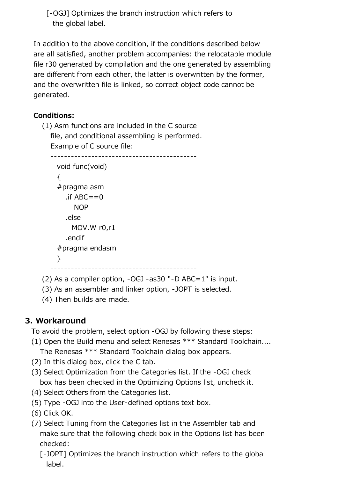[-OGJ] Optimizes the branch instruction which refers to the global label.

 In addition to the above condition, if the conditions described below are all satisfied, another problem accompanies: the relocatable module file r30 generated by compilation and the one generated by assembling are different from each other, the latter is overwritten by the former, and the overwritten file is linked, so correct object code cannot be generated.

# **Conditions:**

 (1) Asm functions are included in the C source file, and conditional assembling is performed. Example of C source file:

-------------------------------------------

```
 void func(void)
\{ #pragma asm
  \cdotif ABC==0
     NOP
   .else
     MOV.W r0,r1
   .endif
 #pragma endasm
 }
```
-------------------------------------------

- (2) As a compiler option, -OGJ -as30 "-D ABC=1" is input.
- (3) As an assembler and linker option, -JOPT is selected.
- (4) Then builds are made.

# **3. Workaround**

To avoid the problem, select option -OGJ by following these steps:

- (1) Open the Build menu and select Renesas \*\*\* Standard Toolchain.... The Renesas \*\*\* Standard Toolchain dialog box appears.
- (2) In this dialog box, click the C tab.
- (3) Select Optimization from the Categories list. If the -OGJ check box has been checked in the Optimizing Options list, uncheck it.
- (4) Select Others from the Categories list.
- (5) Type -OGJ into the User-defined options text box.
- (6) Click OK.
- (7) Select Tuning from the Categories list in the Assembler tab and make sure that the following check box in the Options list has been checked:
	- [-JOPT] Optimizes the branch instruction which refers to the global label.